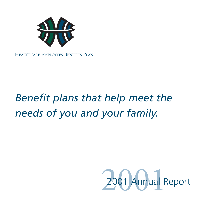

HEALTHCARE EMPLOYEES BENEFITS PLAN

### *Benefit plans that help meet the needs of you and your family.*

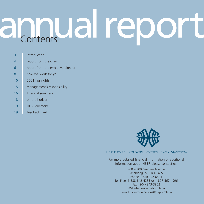### annual report

- 3 introduction
- 4 report from the chair
- 6 report from the executive director
- 8 how we work for you
- 10 2001 highlights
- 15 management's responsibility
- 16 **financial summary**
- 18 on the horizon
- 19 **HEBP** directory
- 19 feedback card



HEALTHCARE EMPLOYEES BENEFITS PLAN - MANITOBA

For more detailed financial information or additional information about HEBP, please contact us.

900 – 200 Graham Avenue Winnipeg, MB R3C 4L5 Phone: (204) 942-6591 Toll Free: 1-888-842-4233 or 1-877-567-4996 Fax: (204) 943-3862 Website: www.hebp.mb.ca E-mail: communications@hepp.mb.ca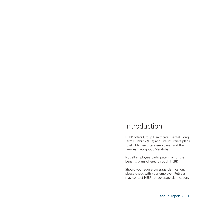### Introduction

HEBP offers Group Healthcare, Dental, Long Term Disability (LTD) and Life Insurance plans to eligible healthcare employees and their families throughout Manitoba.

Not all employers participate in all of the benefits plans offered through HEBP.

Should you require coverage clarification, please check with your employer. Retirees may contact HEBP for coverage clarification.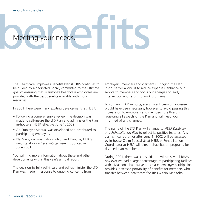# Meeting your needs.

The Healthcare Employees Benefits Plan (HEBP) continues to be guided by a dedicated Board, committed to the ultimate goal of ensuring that Manitoba's healthcare employees are provided with the best benefits available within our resources.

In 2001 there were many exciting developments at HEBP:

- Following a comprehensive review, the decision was made to self-insure the LTD Plan and administer the Plan in-house at HEBP, effective June 1, 2002.
- An Employer Manual was developed and distributed to participating employers.
- PlanView, our orientation video, and PlanSite, HEBP's website at *www.hebp.mb.ca* were introduced in June 2001.

You will find more information about these and other developments within this year's annual report.

The decision to fully self-insure and self-administer the LTD Plan was made in response to ongoing concerns from

employers, members and claimants. Bringing the Plan in-house will allow us to reduce expenses, enhance our service to members and focus our energies on early intervention and return to work programs.

To contain LTD Plan costs, a significant premium increase would have been necessary, however to avoid passing this increase on to employers and members, the Board is reviewing all aspects of the Plan and will keep you informed of any changes.

The name of the LTD Plan will change to *HEBP Disability and Rehabilitation Plan* to reflect its positive features. Any claims incurred on or after June 1, 2002 will be assessed by in-house Claim Specialists at HEBP. A Rehabilitation Coordinator at HEBP will direct rehabilitation programs for disabled plan members.

During 2001, there was consolidation within several RHAs, however we had a larger percentage of participating facilities within Manitoba than last year. Increased employer participation provides increased portability of benefits for members who transfer between healthcare facilities within Manitoba.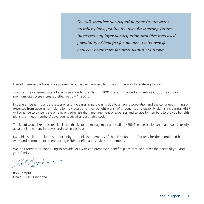*Overall, member participation grew in our active member plans, paving the way for a strong future. Increased employer participation provides increased portability of benefits for members who transfer between healthcare facilities within Manitoba.*

Overall, member participation also grew in our active member plans, paving the way for a strong future.

To offset the increased total of claims paid under the Plans in 2001, Basic, Enhanced and Retiree Group Healthcare premium rates were increased effective July 1, 2001.

In general, benefit plans are experiencing increases in paid claims due to an aging population and the continued shifting of expenses from government plans to individuals and their benefit plans. With benefits and disability claims increasing, HEBP will continue to concentrate on efficient administration, management of expenses and service to members to provide benefits plans that meet members' coverage needs at a reasonable cost.

The Board would like to express its sincere thanks to the management and staff at HEBP. Their dedication and hard work is readily apparent in the many initiatives undertaken this year.

I would also like to take this opportunity to thank the members of the HEBP Board of Trustees for their continued hard work and commitment to enhancing HEBP benefits and services for members.

We look forward to continuing to provide you with comprehensive benefits plans that help meet the needs of you and your family.

Bob Rogel

Bob Romphf Chair, HEBP - Manitoba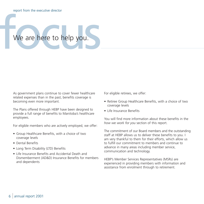### We are here to help you.

As government plans continue to cover fewer healthcare related expenses than in the past, benefits coverage is becoming even more important.

The Plans offered through HEBP have been designed to provide a full range of benefits to Manitoba's healthcare employees.

For eligible members who are actively employed, we offer:

- Group Healthcare Benefits, with a choice of two coverage levels
- Dental Benefits
- Long Term Disability (LTD) Benefits
- Life Insurance Benefits and Accidental Death and Dismemberment (AD&D) Insurance Benefits for members and dependents

For eligible retirees, we offer:

- Retiree Group Healthcare Benefits, with a choice of two coverage levels
- Life Insurance Benefits

You will find more information about these benefits in the *how we work for you* section of this report.

The commitment of our Board members and the outstanding staff at HEBP allows us to deliver these benefits to you. I am very thankful to them for their efforts, which allow us to fulfill our commitment to members and continue to advance in many areas including member service, communication and technology.

HEBP's Member Services Representatives (MSRs) are experienced in providing members with information and assistance from enrolment through to retirement.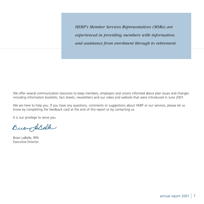*HEBP's Member Services Representatives (MSRs) are experienced in providing members with information and assistance from enrolment through to retirement.*

We offer several communication resources to keep members, employers and unions informed about plan issues and changes including information booklets, fact sheets, newsletters and our video and website that were introduced in June 2001.

We are here to help you. If you have any questions, comments or suggestions about HEBP or our services, please let us know by completing the feedback card at the end of this report or by contacting us.

It is our privilege to serve you.

Buan LaBelle

Brian LaBelle, RPA Executive Director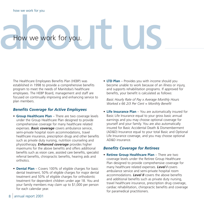## Adw we work for you.

The Healthcare Employees Benefits Plan (HEBP) was established in 1998 to provide a comprehensive benefits program to meet the needs of Manitoba's healthcare employees. The HEBP Board, management and staff are focused on continually improving and enhancing service to plan members.

### *Benefits Coverage for Active Employees*

- **Group Healthcare Plan** There are two coverage levels under the Group Healthcare Plan designed to provide comprehensive coverage for many healthcare related expenses. *Basic coverage* covers ambulance service, semi-private hospital room accommodations, travel healthcare insurance, prescription drugs and other benefits such as private duty nursing, nutrition counseling and physiotherapy. *Enhanced coverage* provides higher maximums for the above benefits and offers additional benefits such as vision care, assisted care benefits, specialist referral benefits, chiropractic benefits, hearing aids and orthotics.
- **Dental Plan** Covers 100% of eligible charges for basic dental treatment, 50% of eligible charges for major dental treatment and 50% of eligible charges for orthodontic treatment for dependent children under age 18. You and your family members may claim up to \$1,000 per person for each calendar year.

• **LTD Plan** – Provides you with income should you become unable to work because of an illness or injury, and supports rehabilitation programs. If approved for benefits, your benefit is calculated as follows:

*Basic Hourly Rate of Pay x Average Monthly Hours Worked x 66 2/3 Per Cent = Monthly Benefit* 

• **Life Insurance Plan** – You are automatically insured for Basic Life Insurance equal to your gross basic annual earnings and you may choose optional coverage for yourself and your family. You are also automatically insured for Basic Accidental Death & Dismemberment (AD&D) Insurance equal to your total Basic and Optional Life Insurance coverage, and you may choose optional AD&D insurance.

### *Benefits Coverage for Retirees*

• **Retiree Group Healthcare Plan** – There are two coverage levels under the Retiree Group Healthcare Plan designed to provide comprehensive coverage for many healthcare related expenses. *Level I* covers ambulance service and semi-private hospital room accommodations. *Level II* covers the above benefits and additional benefits such as private duty nursing, travel healthcare insurance, prescription drug coverage, cardiac rehabilitation, chiropractic benefits and coverage for paramedical practitioners.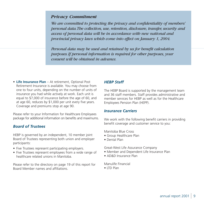### *Privacy Commitment*

*We are committed to protecting the privacy and confidentiality of members' personal data.The collection, use, retention, disclosure, transfer, security and access of personal data will be in accordance with new national and provincial privacy laws which come into effect on January 1, 2004.*

*Personal data may be used and retained by us for benefit calculation purposes.If personal information is required for other purposes, your consent will be obtained in advance.*

• **Life Insurance Plan** – At retirement, Optional Post Retirement Insurance is available. You may choose from one to four units, depending on the number of units of insurance you had while actively at work. Each unit is equal to \$7,000 of insurance before the age of 60, and at age 60, reduces by \$1,000 per unit every five years. Coverage and premiums stop at age 90.

Please refer to your Information for Healthcare Employees package for additional information on benefits and maximums.

### *Board of Trustees*

HEBP is governed by an independent, 10 member joint Board of Trustees representing both union and employer participants:

- Five Trustees represent participating employers.
- Five Trustees represent employees from a wide range of healthcare related unions in Manitoba.

Please refer to the directory on page 19 of this report for Board Member names and affiliations.

### *HEBP Staff*

The HEBP Board is supported by the management team and 36 staff members. Staff provides administrative and member services for HEBP as well as for the Healthcare Employees Pension Plan (HEPP).

### *Insurance Carriers*

We work with the following benefit carriers in providing benefit coverage and customer service to you:

Manitoba Blue Cross

- Group Healthcare Plan
- Dental Plan

Great-West Life Assurance Company

- Member and Dependent Life Insurance Plan
- AD&D Insurance Plan

Manulife Financial

• ITD Plan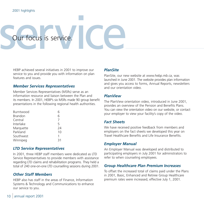## Sour focus is service.

HEBP achieved several initiatives in 2001 to improve our service to you and provide you with information on plan features and issues.

### *Member Services Representatives*

Member Services Representatives (MSRs) serve as an information resource and liaison between the Plan and its members. In 2001, HEBP's six MSRs made 90 group benefit presentations in the following regional health authorities.

| 6  |
|----|
| 6  |
| 7  |
| 5  |
| 24 |
| 10 |
| 1  |
| 31 |
|    |

### *LTD Service Representatives*

In 2001, three HEBP staff members were dedicated as LTD Service Representatives to provide members with assistance regarding LTD claims and rehabilitation programs. They held a total of 240 one-on-one LTD counselling sessions during 2001.

### *Other Staff Members*

HEBP also has staff in the areas of Finance, Information Systems & Technology and Communications to enhance our service to you.

### *PlanSite*

PlanSite, our new website at *www.hebp.mb.ca*, was launched in June 2001. The website provides plan information and gives you access to forms, Annual Reports, newsletters and our orientation video.

### *PlanView*

The PlanView orientation video, introduced in June 2001, provides an overview of the Pension and Benefits Plans. You can view the orientation video on our website, or contact your employer to view your facility's copy of the video.

### *Fact Sheets*

We have received positive feedback from members and employers on the fact sheets we developed this year on Travel Healthcare Benefits and Life Insurance Benefits.

### *Employer Manual*

An Employer Manual was developed and distributed to participating employers in July 2001 for administrators to refer to when counseling employees.

### *Group Healthcare Plan Premium Increases*

To offset the increased total of claims paid under the Plans in 2001, Basic, Enhanced and Retiree Group Healthcare premium rates were increased, effective July 1, 2001.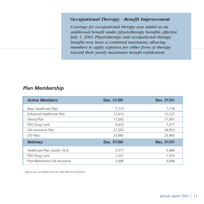### *Occupational Therapy - Benefit Improvement*

*Coverage for occupational therapy was added as an additional benefit under physiotherapy benefits, effective July 1, 2001. Physiotherapy and occupational therapy benefits now have a combined maximum, allowing members to apply expenses for either form of therapy toward their yearly maximum benefit entitlement.*

### *Plan Membership*

| <b>Active Members:</b>          | Dec. 31/00 <sup>1</sup> | Dec. 31/01 |
|---------------------------------|-------------------------|------------|
| Basic Healthcare Plan           | 7,713                   | 7,778      |
| Enhanced Healthcare Plan        | 12,415                  | 12,237     |
| Dental Plan                     | 17,042                  | 17,891     |
| POS Drug Card                   | 4,425                   | 7,077      |
| Life Insurance Plan             | 27,200                  | 28,953     |
| LTD Plan                        | 23,885                  | 23,965     |
| <b>Retirees:</b>                | Dec. 31/00 <sup>1</sup> | Dec. 31/01 |
| Healthcare Plan (Levels I & II) | 3,571                   | 3,484      |
| POS Drug Card                   | 1,231                   | 1,374      |
| Post-Retirement Life Insurance  | 2,696                   | 3,008      |

*1 Figures may vary slightly from the 2000 HEBP Annual Report.*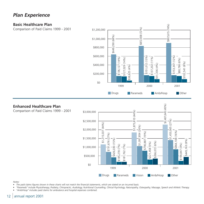### *Plan Experience*

### **Basic Healthcare Plan**

Comparison of Paid Claims 1999 - 2001



### **Enhanced Healthcare Plan**

Comparison of Paid Claims 1999 - 2001



*Notes:*

- *• The paid claims figures shown in these charts will not match the financial statements, which are stated on an incurred basis.*
- *• "Parameds" include Physiotherapy, Podiatry, Chiropractic, Audiology, Nutritional Counselling, Clinical Psychology, Naturopathy, Osteopathy, Massage, Speech and Athletic Therapy.*

*• "Amb/Hosp" includes paid claims for ambulance and hospital expenses combined.*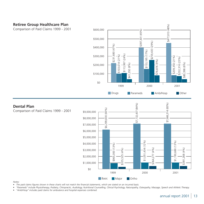### **Retiree Group Healthcare Plan**

Comparison of Paid Claims 1999 - 2001



### $(83\%)$  $(84%)$ \$7,666,314 (83%)\$7,132,437 (84%) **Dental Plan**  $(83%)$ \$6,299,830 (83%) Comparison of Paid Claims 1999 - 2001  $\overline{314}$ \$7,132,437 \$9,000,000 666, 830 \$8,000,000 57, \$6,299, \$7,000,000 \$6,000,000 \$5,000,000  $(051,434(12%)$ \$1,051,434 (12%) 190,680 (13%) \$1,190,680 (13%) \$4,000,000 — CORE — CONSIDERED — CORE — CONSIDERED — CORE — CORE — CORE — CORE — CORE — CORE — CORE — CORE — CORE — CORE — CORE — CORE — CORE — CORE — CORE — CORE — CORE — CORE — CORE — CORE — CORE — CORE — CORE — CORE — CORE — CORE  $(4%)$  $(4%)$ \$364,277 (4%) \$381,268 (4%) \$3,000,000 277 268 \$2,000,000 \$364.2 \$1,  $\overline{\mathfrak{s}}$ 1  $$38$ \$1,000,000 \$0 1999 2000 2001

*Notes:*

- *• The paid claims figures shown in these charts will not match the financial statements, which are stated on an incurred basis.*
- *• "Parameds" include Physiotherapy, Podiatry, Chiropractic, Audiology, Nutritional Counselling, Clinical Psychology, Naturopathy, Osteopathy, Massage, Speech and Athletic Therapy.*
- *• "Amb/Hosp" includes paid claims for ambulance and hospital expenses combined.*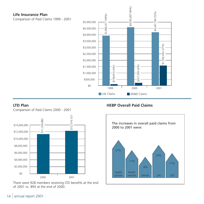### **Life Insurance Plan**

Comparison of Paid Claims 1999 - 2001



### **LTD Plan**

Comparison of Paid Claims 2000 - 2001



There were 928 members receiving LTD benefits at the end of 2001 vs. 893 at the end of 2000.

**HEBP Overall Paid Claims**

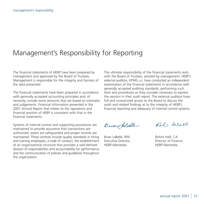### Management's Responsibility for Reporting

The financial statements of HEBP have been prepared by management and approved by the Board of Trustees. Management is responsible for the integrity and fairness of the data presented.

The financial statements have been prepared in accordance with generally accepted accounting principles and, of necessity, include some amounts that are based on estimates and judgements. Financial information presented in the 2001 Annual Report that relates to the operations and financial position of HEBP is consistent with that in the financial statements.

Systems of internal control and supporting procedures are maintained to provide assurance that transactions are authorized, assets are safeguarded and proper records are maintained. These controls include quality standards in hiring and training employees, a code of conduct, the establishment of an organizational structure that provides a well-defined division of responsibilities and accountability for performance, and the communication of policies and guidelines throughout the organization.

The ultimate responsibility of the financial statements rests with the Board of Trustees, assisted by management. HEBP's external auditors, KPMG LLP, have conducted an independent examination of the financial statements in accordance with generally accepted auditing standards, performing such tests and procedures as they consider necessary to express the opinion in their audit report. The external auditors have full and unrestricted access to the Board to discuss the audit and related findings as to the integrity of HEBP's financial reporting and adequacy of internal control systems.

BuangaBelle

Brian LaBelle, RPA Rohini Halli, CA HEBP-Manitoba HEBP-Manitoba

Roh: Salall

Executive Director, **Director of Finance**,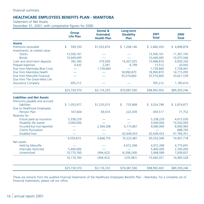### **HEALTHCARE EMPLOYEES BENEFITS PLAN - MANITOBA**

Statement of Net Assets

December 31, 2001, with comparative figures for 2000

|                                   | <b>Group</b><br><b>Life Plan</b> | Dental &<br><b>Extended</b><br><b>Health Plan</b> | Long-term<br><b>Disability</b><br>Plan | 2001<br><b>Total</b> | 2000<br><b>Total</b> |
|-----------------------------------|----------------------------------|---------------------------------------------------|----------------------------------------|----------------------|----------------------|
| <b>Assets</b>                     |                                  |                                                   |                                        |                      |                      |
| Premiums receivable               | 599,330<br>$\mathbf{s}$          | \$1,052,874                                       | \$1,208,146                            | \$2,860,350          | \$4,898,878          |
| Investments, at market value:     |                                  |                                                   |                                        |                      |                      |
| <b>Stocks</b>                     | 13,500,161                       |                                                   |                                        | 13,500,161           | 11,307,745           |
| <b>Bonds</b>                      | 10,449,095                       |                                                   |                                        | 10,449,095           | 10,975,566           |
| Cash and short-term deposits      | 782,340                          | 379,509                                           | 14,307,025                             | 15,468,874           | 9,930,330            |
| Prepaid expenses                  | 4,432                            | 2,281                                             | 6,799                                  | 13,512               | 20,042               |
| Due from Manitoba Blue Cross      |                                  | 1,739,669                                         |                                        | 1,739,669            | 2,738,441            |
| Due from Manitoba Health          |                                  |                                                   | 18,990,870                             | 18,990,870           | 14,715,095           |
| Due from Manulife Financial       |                                  |                                                   | 35,574,660                             | 35,574,660           | 33,621,539           |
| Due from The Great-West Life      |                                  |                                                   |                                        |                      |                      |
| <b>Assurance Company</b>          | 395,212                          |                                                   |                                        | 395,212              | 1,185,610            |
|                                   | \$25,730,570                     | \$3,174,333                                       | \$70,087,500                           | \$98,992,403         | \$89,393,246         |
| <b>Liabilities and Net Assets</b> |                                  |                                                   |                                        |                      |                      |
| Premiums payable and accrued      |                                  |                                                   |                                        |                      |                      |
| liabilities                       | \$1,053,977                      | \$1,235,013                                       | \$<br>735,808                          | \$3,024,798          | \$2,874,877          |
| Due to Healthcare Employees       |                                  |                                                   |                                        |                      |                      |
| <b>Pension Plan</b>               | 167,604                          | 69,474                                            | 222,439                                | 459,517              | 71,752               |
| Reserves for:                     |                                  |                                                   |                                        |                      |                      |
| Future paid-up insurance          | 5,338,229                        |                                                   |                                        | 5,338,229            | 4,615,030            |
| Disability life waiver            | 3,000,000                        |                                                   |                                        | 3,000,000            | 10,200,000           |
| Incurred-but-not-reported         |                                  | 2,364,268                                         | 6,715,801                              | 9,080,069            | 8,690,963            |
| Claims fluctuation                |                                  |                                                   |                                        |                      | 688,745              |
| <b>Disabled lives</b>             |                                  |                                                   | 62,649,433                             | 62,649,433           | 47,766,351           |
|                                   | 9,559,810                        | 3,668,755                                         | 70,323,481                             | 83,552,046           | 74,907,718           |
| Net assets:                       |                                  |                                                   |                                        |                      |                      |
| Held by Manulife                  |                                  |                                                   | 4,072,268                              | 4,072,268            | 4,775,691            |
| Internally restricted             | 5,400,000                        |                                                   |                                        | 5,400,000            | 2,700,000            |
| Unrestricted                      | 10,770,760                       | (494, 422)                                        | (4,308,249)                            | 5,968,089            | 7,009,837            |
|                                   | 16,170,760                       | (494, 422)                                        | (235,981)                              | 15,440,357           | 14,485,528           |
|                                   | \$25,730,570                     | \$3,174,333                                       | \$70,087,500                           | \$98,992,403         | \$89,393,246         |

These are extracts from the audited Financial Statements of the Healthcare Employees Benefits Plan – Manitoba. For a complete set of Financial Statements, please call our office.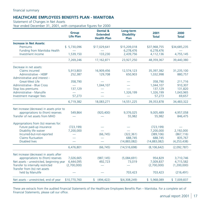### **HEALTHCARE EMPLOYEES BENEFITS PLAN - MANITOBA**

Statement of Changes in Net Assets

Year ended December 31, 2001, with comparative figures for 2000

|                                            | <b>Group</b><br><b>Life Plan</b> | <b>Dental &amp;</b><br><b>Extended</b><br><b>Health Plan</b> | Long-term<br><b>Disability</b><br>Plan | 2001<br><b>Total</b> | 2000<br><b>Total</b> |
|--------------------------------------------|----------------------------------|--------------------------------------------------------------|----------------------------------------|----------------------|----------------------|
| <b>Increase in Net Assets:</b>             |                                  |                                                              |                                        |                      |                      |
| Premiums                                   | \$5,730,096                      | \$17,029,641                                                 | \$15,209,018                           | \$37,968,755         | \$34,685,235         |
| Funding from Manitoba Health               |                                  |                                                              | 6,278,476                              | 6,278,476            |                      |
| Investment income                          | 1,539,150                        | 133,230                                                      | 2,439,756                              | 4,112,136            | 4,755,145            |
|                                            | 7,269,246                        | 17,162,871                                                   | 23,927,250                             | 48,359,367           | 39,440,380           |
| Decrease in net assets:                    |                                  |                                                              |                                        |                      |                      |
| Claims incurred                            | 5,913,803                        | 16,909,456                                                   | 12,574,123                             | 35,397,382           | 31,235,100           |
| Administrative - HEBP                      | 252,387                          | 129,708                                                      | 650,903                                | 1,032,998            | 880,757              |
| Administrative and interest -              |                                  |                                                              |                                        |                      |                      |
| <b>Great-West Life</b>                     | 358,790                          |                                                              |                                        | 358,790              | 211,716              |
| Administrative - Blue Cross                |                                  | 1,044,107                                                    |                                        | 1,044,107            | 910,307              |
| Stop loss premiums                         | 137,129                          |                                                              |                                        | 137,129              | 131,820              |
| Administrative - Manulife                  |                                  |                                                              | 1,326,199                              | 1,326,199            | 1,043,965            |
| Investment manager fees                    | 57,273                           |                                                              |                                        | 57,273               | 69,657               |
|                                            | 6,719,382                        | 18,083,271                                                   | 14,551,225                             | 39,353,878           | 34,483,322           |
| Net increase (decrease) in assets prior to |                                  |                                                              |                                        |                      |                      |
| appropriations to (from) reserves          | 549,864                          | (920, 400)                                                   | 9,376,025                              | 9,005,489            | 4,957,058            |
| Transfer of net assets from MHO            |                                  |                                                              | 55,982                                 | 55,982               | 846,475              |
| Appropriations from (to) reserves for:     |                                  |                                                              |                                        |                      |                      |
| Future paid-up insurance                   | (723, 199)                       |                                                              |                                        | (723, 199)           |                      |
| Disability life waiver                     | 7,200,000                        |                                                              |                                        | 7,200,000            | 2,192,000            |
| Incurred-but-not-reported                  |                                  | (66, 745)                                                    | (322, 361)                             | (389, 106)           | (867, 116)           |
| Claims fluctuation                         |                                  |                                                              | 688,745                                | 688,745              | 835,767              |
| <b>Disabled lives</b>                      |                                  |                                                              | (14,883,082)                           | (14,883,082)         | (4, 253, 438)        |
|                                            | 6,476,801                        | (66, 745)                                                    | (14, 516, 698)                         | (8, 106, 642)        | (2,092,787)          |
| Net increase (decrease) in assets after    |                                  |                                                              |                                        |                      |                      |
| appropriations to (from) reserves          | 7,026,665                        | (987, 145)                                                   | (5,084,691)                            | 954,829              | 3,710,746            |
| Net assets - unrestricted, beginning year  | 6,444,095                        | 492,723                                                      | 73,019                                 | 7,009,837            | 4,715,582            |
| Transfer to internally restricted          | (2,700,000)                      |                                                              |                                        | (2,700,000)          | (1,200,000)          |
| Transfer from (to) net assets              |                                  |                                                              |                                        |                      |                      |
| held by Manulife                           |                                  |                                                              | 703,423                                | 703,423              | (216, 491)           |
| Net assets - unrestricted, end of year     | \$10,770,760                     | \$ (494, 422)                                                | \$(4,308,249)                          | \$5,968,089          | \$7,009,837          |

These are extracts from the audited Financial Statements of the Healthcare Employees Benefits Plan – Manitoba. For a complete set of Financial Statements, please call our office.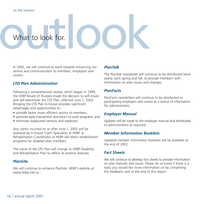## What to look for.

In 2002, we will continue to work towards enhancing our service and communication to members, employers and unions.

### *LTD Plan Administration*

Following a comprehensive review, which began in 1999, the HEBP Board of Trustees made the decision to self-insure and self-administer the LTD Plan, effective June 1, 2002. Bringing the LTD Plan in-house provides significant advantages and opportunities to:

- provide faster, more efficient service to members,
- promote early intervention and return to work programs, and
- eliminate duplicated services and expenses.

Any claims incurred on or after June 1, 2002 will be assessed by in-house Claim Specialists at HEBP. A Rehabilitation Coordinator at HEBP will direct rehabilitation programs for disabled plan members.

The name of the LTD Plan will change to HEBP Disability and Rehabilitation Plan to reflect its positive features.

### *PlanSite*

We will continue to enhance PlanSite, HEBP's website at *www.hebp.mb.ca*

### *PlanTalk*

The PlanTalk newsletter will continue to be distributed twice yearly, each spring and fall, to provide members with information on plan issues and changes.

### *PlanFacts*

PlanFacts newsletters will continue to be distributed to participating employers and unions as a source of information for administrators.

### *Employer Manual*

Updates will be made to the employer manual and distributed to administrators as required.

### *Member Information Booklets*

Updated member information booklets will be available at the end of 2002.

### *Fact Sheets*

We will continue to develop fact sheets to provide information on plan features and issues. Please let us know if there is a topic you would like more information on by completing the feedback card at the end of this report.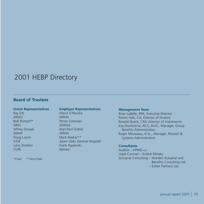### 2001 HEBP Directory

### **Board of Trustees**

### **Union Representatives**

Ray Erb *MGEU* Bob Romphf\* *MNU* Jeffrey Dovyak *MAHP* Doug Laurie *IUOE* Larry Stratton *CUPE*

*\*Chair \*\*Vice-Chair* 

### **Employer Representatives**

Gloria O'Rourke *WRHA* Penny Sorensen *SWRHA* Jean-Paul Gobeil *WRHA* Mark Neskar\*\* *Seven Oaks General Hospital* Frank Ryplanski *Retired*

### **Management Team**

Brian LaBelle, RPA, Executive Director Rohini Halli, CA, Director of Finance Ronald Queck, CFA, Director of Investments Kay Dunthorne, ACS, ALHC, Manager, Group Benefits Administration Roger Mousseau, B.Sc., Manager, Pension & Systems Administration

### **Consultants**

Auditor – KPMG LLP Legal Counsel – Koskie Minsky Actuarial Consulting – Worden Actuarial and Benefits Consulting Ltd. – Eckler Partners Ltd.